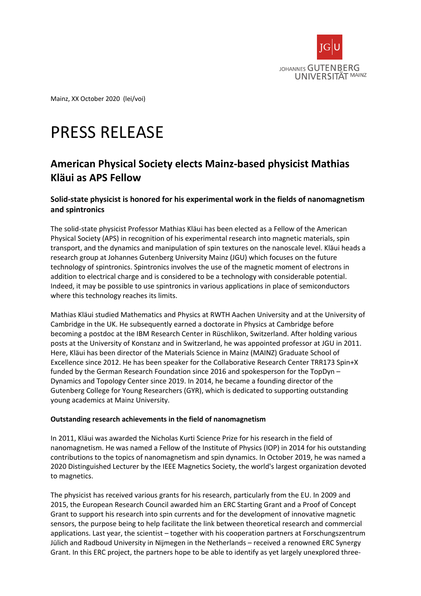

Mainz, XX October 2020 (lei/voi)

# PRESS RELEASE

## **American Physical Society elects Mainz-based physicist Mathias Kläui as APS Fellow**

### **Solid-state physicist is honored for his experimental work in the fields of nanomagnetism and spintronics**

The solid-state physicist Professor Mathias Kläui has been elected as a Fellow of the American Physical Society (APS) in recognition of his experimental research into magnetic materials, spin transport, and the dynamics and manipulation of spin textures on the nanoscale level. Kläui heads a research group at Johannes Gutenberg University Mainz (JGU) which focuses on the future technology of spintronics. Spintronics involves the use of the magnetic moment of electrons in addition to electrical charge and is considered to be a technology with considerable potential. Indeed, it may be possible to use spintronics in various applications in place of semiconductors where this technology reaches its limits.

Mathias Kläui studied Mathematics and Physics at RWTH Aachen University and at the University of Cambridge in the UK. He subsequently earned a doctorate in Physics at Cambridge before becoming a postdoc at the IBM Research Center in Rüschlikon, Switzerland. After holding various posts at the University of Konstanz and in Switzerland, he was appointed professor at JGU in 2011. Here, Kläui has been director of the Materials Science in Mainz (MAINZ) Graduate School of Excellence since 2012. He has been speaker for the Collaborative Research Center TRR173 Spin+X funded by the German Research Foundation since 2016 and spokesperson for the TopDyn – Dynamics and Topology Center since 2019. In 2014, he became a founding director of the Gutenberg College for Young Researchers (GYR), which is dedicated to supporting outstanding young academics at Mainz University.

#### **Outstanding research achievements in the field of nanomagnetism**

In 2011, Kläui was awarded the Nicholas Kurti Science Prize for his research in the field of nanomagnetism. He was named a Fellow of the Institute of Physics (IOP) in 2014 for his outstanding contributions to the topics of nanomagnetism and spin dynamics. In October 2019, he was named a 2020 Distinguished Lecturer by the IEEE Magnetics Society, the world's largest organization devoted to magnetics.

The physicist has received various grants for his research, particularly from the EU. In 2009 and 2015, the European Research Council awarded him an ERC Starting Grant and a Proof of Concept Grant to support his research into spin currents and for the development of innovative magnetic sensors, the purpose being to help facilitate the link between theoretical research and commercial applications. Last year, the scientist – together with his cooperation partners at Forschungszentrum Jülich and Radboud University in Nijmegen in the Netherlands – received a renowned ERC Synergy Grant. In this ERC project, the partners hope to be able to identify as yet largely unexplored three-